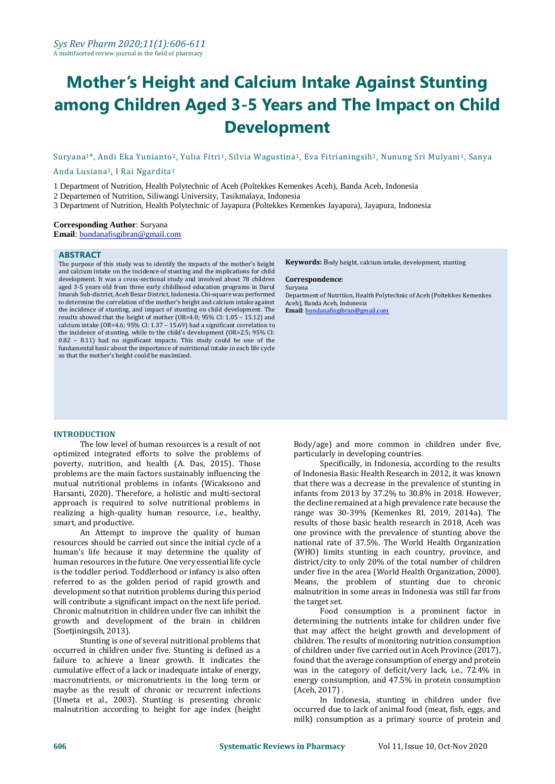# **Mother's Height and Calcium Intake Against Stunting among Children Aged 3-5 Years and The Impact on Child Development**

Suryana1\*, Andi Eka Yunianto2, Yulia Fitri1, Silvia Wagustina1, Eva Fitrianingsih1, Nunung Sri Mulyani1, Sanya

Anda Lusiana3, I Rai Ngardita<sup>3</sup>

1 Department of Nutrition, Health Polytechnic of Aceh (Poltekkes Kemenkes Aceh), Banda Aceh, Indonesia

2 Departemen of Nutrition, Siliwangi University, Tasikmalaya, Indonesia

3 Department of Nutrition, Health Polytechnic of Jayapura (Poltekkes Kemenkes Jayapura), Jayapura, Indonesia

#### **Corresponding Author**: Suryana

**Email**[: bundanafisgibran@gmail.com](mailto:bundanafisgibran@gmail.com)

#### **ABSTRACT**

The purpose of this study was to identify the impacts of the mother's height and calcium intake on the incidence of stunting and the implications for child development. It was a cross-sectional study and involved about 78 children aged 3-5 years old from three early childhood education programs in Darul Imarah Sub-district, Aceh Besar District, Indonesia. Chi-square was performed to determine the correlation of the mother's height and calcium intake against the incidence of stunting, and impact of stunting on child development. The results showed that the height of mother (OR=4.0; 95% CI: 1.05 – 15.12) and calcium intake (OR=4.6; 95% CI: 1.37 – 15.69) had a significant correlation to the incidence of stunting, while to the child's development (OR=2.5; 95% CI: 0.82 – 8.11) had no significant impacts. This study could be one of the fundamental basic about the importance of nutritional intake in each life cycle so that the mother's height could be maximized.

**Keywords:** Body height, calcium intake, development, stunting

#### **Correspondence**: Suryana

Department of Nutrition, Health Polytechnic of Aceh (Poltekkes Kemenkes Aceh), Banda Aceh, Indonesia **Email**[: bundanafisgibran@gmail.com](mailto:bundanafisgibran@gmail.com)

#### **INTRODUCTION**

The low level of human resources is a result of not optimized integrated efforts to solve the problems of poverty, nutrition, and health (A. Das, 2015). Those problems are the main factors sustainably influencing the mutual nutritional problems in infants (Wicaksono and Harsanti, 2020). Therefore, a holistic and multi-sectoral approach is required to solve nutritional problems in realizing a high-quality human resource, i.e., healthy, smart, and productive.

An Attempt to improve the quality of human resources should be carried out since the initial cycle of a human's life because it may determine the quality of human resources in the future. One very essential life cycle is the toddler period. Toddlerhood or infancy is also often referred to as the golden period of rapid growth and development so that nutrition problems during this period will contribute a significant impact on the next life period. Chronic malnutrition in children under five can inhibit the growth and development of the brain in children (Soetjiningsih, 2013).

Stunting is one of several nutritional problems that occurred in children under five. Stunting is defined as a failure to achieve a linear growth. It indicates the cumulative effect of a lack or inadequate intake of energy, macronutrients, or micronutrients in the long term or maybe as the result of chronic or recurrent infections (Umeta et al., 2003). Stunting is presenting chronic malnutrition according to height for age index (height Body/age) and more common in children under five, particularly in developing countries.

Specifically, in Indonesia, according to the results of Indonesia Basic Health Research in 2012, it was known that there was a decrease in the prevalence of stunting in infants from 2013 by 37.2% to 30.8% in 2018. However, the decline remained at a high prevalence rate because the range was 30-39% (Kemenkes RI, 2019, 2014a). The results of those basic health research in 2018, Aceh was one province with the prevalence of stunting above the national rate of 37.5%. The World Health Organization (WHO) limits stunting in each country, province, and district/city to only 20% of the total number of children under five in the area (World Health Organization, 2000). Means, the problem of stunting due to chronic malnutrition in some areas in Indonesia was still far from the target set.

Food consumption is a prominent factor in determining the nutrients intake for children under five that may affect the height growth and development of children. The results of monitoring nutrition consumption of children under five carried out in Aceh Province (2017), found that the average consumption of energy and protein was in the category of deficit/very lack, i.e., 72.4% in energy consumption, and 47.5% in protein consumption (Aceh, 2017) .

In Indonesia, stunting in children under five occurred due to lack of animal food (meat, fish, eggs, and milk) consumption as a primary source of protein and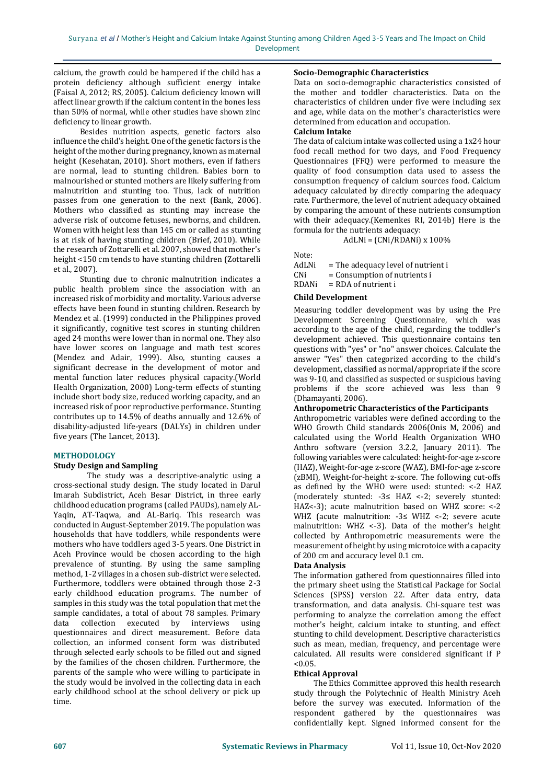calcium, the growth could be hampered if the child has a protein deficiency although sufficient energy intake (Faisal A, 2012; RS, 2005). Calcium deficiency known will affect linear growth if the calcium content in the bones less than 50% of normal, while other studies have shown zinc deficiency to linear growth.

Besides nutrition aspects, genetic factors also influence the child's height. One of the genetic factors is the height of the mother during pregnancy, known as maternal height (Kesehatan, 2010). Short mothers, even if fathers are normal, lead to stunting children. Babies born to malnourished or stunted mothers are likely suffering from malnutrition and stunting too. Thus, lack of nutrition passes from one generation to the next (Bank, 2006). Mothers who classified as stunting may increase the adverse risk of outcome fetuses, newborns, and children. Women with height less than 145 cm or called as stunting is at risk of having stunting children (Brief, 2010). While the research of Zottarelli et al. 2007, showed that mother's height <150 cm tends to have stunting children (Zottarelli et al., 2007).

Stunting due to chronic malnutrition indicates a public health problem since the association with an increased risk of morbidity and mortality. Various adverse effects have been found in stunting children. Research by Mendez et al. (1999) conducted in the Philippines proved it significantly, cognitive test scores in stunting children aged 24 months were lower than in normal one. They also have lower scores on language and math test scores (Mendez and Adair, 1999). Also, stunting causes a significant decrease in the development of motor and mental function later reduces physical capacity.(World Health Organization, 2000) Long-term effects of stunting include short body size, reduced working capacity, and an increased risk of poor reproductive performance. Stunting contributes up to 14.5% of deaths annually and 12.6% of disability-adjusted life-years (DALYs) in children under five years (The Lancet, 2013).

#### **METHODOLOGY**

## **Study Design and Sampling**

The study was a descriptive-analytic using a cross-sectional study design. The study located in Darul Imarah Subdistrict, Aceh Besar District, in three early childhood education programs (called PAUDs), namely AL-Yaqin, AT-Taqwa, and AL-Bariq. This research was conducted in August-September 2019. The population was households that have toddlers, while respondents were mothers who have toddlers aged 3-5 years. One District in Aceh Province would be chosen according to the high prevalence of stunting. By using the same sampling method, 1-2 villages in a chosen sub-district were selected. Furthermore, toddlers were obtained through those 2-3 early childhood education programs. The number of samples in this study was the total population that met the sample candidates, a total of about 78 samples. Primary data collection executed by interviews using questionnaires and direct measurement. Before data collection, an informed consent form was distributed through selected early schools to be filled out and signed by the families of the chosen children. Furthermore, the parents of the sample who were willing to participate in the study would be involved in the collecting data in each early childhood school at the school delivery or pick up time.

#### **Socio-Demographic Characteristics**

Data on socio-demographic characteristics consisted of the mother and toddler characteristics. Data on the characteristics of children under five were including sex and age, while data on the mother's characteristics were determined from education and occupation.

#### **Calcium Intake**

The data of calcium intake was collected using a 1x24 hour food recall method for two days, and Food Frequency Questionnaires (FFQ) were performed to measure the quality of food consumption data used to assess the consumption frequency of calcium sources food. Calcium adequacy calculated by directly comparing the adequacy rate. Furthermore, the level of nutrient adequacy obtained by comparing the amount of these nutrients consumption with their adequacy.(Kemenkes RI, 2014b) Here is the formula for the nutrients adequacy:

AdLNi = (CNi/RDANi) x 100%

Note:

AdLNi = The adequacy level of nutrient i

CNi = Consumption of nutrients i

RDANi = RDA of nutrient i

#### **Child Development**

Measuring toddler development was by using the Pre Development Screening Questionnaire, which was according to the age of the child, regarding the toddler's development achieved. This questionnaire contains ten questions with "yes" or "no" answer choices. Calculate the answer "Yes" then categorized according to the child's development, classified as normal/appropriate if the score was 9-10, and classified as suspected or suspicious having problems if the score achieved was less than 9 (Dhamayanti, 2006).

#### **Anthropometric Characteristics of the Participants**

Anthropometric variables were defined according to the WHO Growth Child standards 2006(Onis M, 2006) and calculated using the World Health Organization WHO Anthro software (version 3.2.2, January 2011). The following variables were calculated: height-for-age z-score (HAZ), Weight-for-age z-score (WAZ), BMI-for-age z-score (zBMI), Weight-for-height z-score. The following cut-offs as defined by the WHO were used: stunted: <-2 HAZ (moderately stunted: -3≤ HAZ <-2; severely stunted: HAZ<-3); acute malnutrition based on WHZ score: <-2 WHZ (acute malnutrition: -3≤ WHZ <-2; severe acute malnutrition: WHZ <-3). Data of the mother's height collected by Anthropometric measurements were the measurement of height by using microtoice with a capacity of 200 cm and accuracy level 0.1 cm.

#### **Data Analysis**

The information gathered from questionnaires filled into the primary sheet using the Statistical Package for Social Sciences (SPSS) version 22. After data entry, data transformation, and data analysis. Chi-square test was performing to analyze the correlation among the effect mother's height, calcium intake to stunting, and effect stunting to child development. Descriptive characteristics such as mean, median, frequency, and percentage were calculated. All results were considered significant if P  $< 0.05.$ 

#### **Ethical Approval**

The Ethics Committee approved this health research study through the Polytechnic of Health Ministry Aceh before the survey was executed. Information of the respondent gathered by the questionnaires was confidentially kept. Signed informed consent for the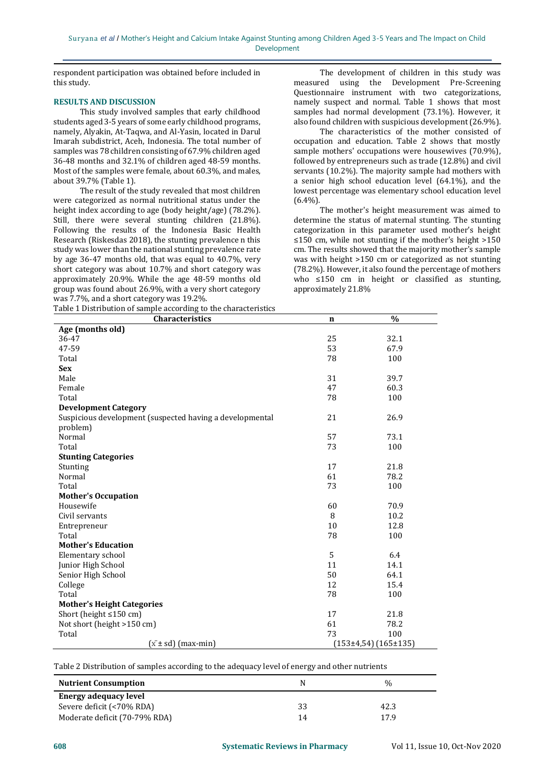respondent participation was obtained before included in this study.

#### **RESULTS AND DISCUSSION**

This study involved samples that early childhood students aged 3-5 years of some early childhood programs, namely, Alyakin, At-Taqwa, and Al-Yasin, located in Darul Imarah subdistrict, Aceh, Indonesia. The total number of samples was 78 children consisting of 67.9% children aged 36-48 months and 32.1% of children aged 48-59 months. Most of the samples were female, about 60.3%, and males, about 39.7% (Table 1).

The result of the study revealed that most children were categorized as normal nutritional status under the height index according to age (body height/age) (78.2%). Still, there were several stunting children (21.8%). Following the results of the Indonesia Basic Health Research (Riskesdas 2018), the stunting prevalence n this study was lower than the national stunting prevalence rate by age 36-47 months old, that was equal to 40.7%, very short category was about 10.7% and short category was approximately 20.9%. While the age 48-59 months old group was found about 26.9%, with a very short category was 7.7%, and a short category was 19.2%.

The development of children in this study was measured using the Development Pre-Screening Questionnaire instrument with two categorizations, namely suspect and normal. Table 1 shows that most samples had normal development (73.1%). However, it also found children with suspicious development (26.9%).

The characteristics of the mother consisted of occupation and education. Table 2 shows that mostly sample mothers' occupations were housewives (70.9%), followed by entrepreneurs such as trade (12.8%) and civil servants (10.2%). The majority sample had mothers with a senior high school education level (64.1%), and the lowest percentage was elementary school education level  $(6.4\%)$ .

The mother's height measurement was aimed to determine the status of maternal stunting. The stunting categorization in this parameter used mother's height ≤150 cm, while not stunting if the mother's height >150 cm. The results showed that the majority mother's sample was with height >150 cm or categorized as not stunting (78.2%). However, it also found the percentage of mothers who ≤150 cm in height or classified as stunting, approximately 21.8%

| Table 1 Distribution of sample according to the characteristics |             |                        |
|-----------------------------------------------------------------|-------------|------------------------|
| Characteristics                                                 | $\mathbf n$ | $\%$                   |
| Age (months old)                                                |             |                        |
| 36-47                                                           | 25          | 32.1                   |
| 47-59                                                           | 53          | 67.9                   |
| Total                                                           | 78          | 100                    |
| <b>Sex</b>                                                      |             |                        |
| Male                                                            | 31          | 39.7                   |
| Female                                                          | 47          | 60.3                   |
| Total                                                           | 78          | 100                    |
| <b>Development Category</b>                                     |             |                        |
| Suspicious development (suspected having a developmental        | 21          | 26.9                   |
| problem)                                                        |             |                        |
| Normal                                                          | 57          | 73.1                   |
| Total                                                           | 73          | 100                    |
| <b>Stunting Categories</b>                                      |             |                        |
| Stunting                                                        | 17          | 21.8                   |
| Normal                                                          | 61          | 78.2                   |
| Total                                                           | 73          | 100                    |
| <b>Mother's Occupation</b>                                      |             |                        |
| Housewife                                                       | 60          | 70.9                   |
| Civil servants                                                  | 8           | 10.2                   |
| Entrepreneur                                                    | 10          | 12.8                   |
| Total                                                           | 78          | 100                    |
| <b>Mother's Education</b>                                       |             |                        |
| Elementary school                                               | 5           | 6.4                    |
| Junior High School                                              | 11          | 14.1                   |
| Senior High School                                              | 50          | 64.1                   |
| College                                                         | 12          | 15.4                   |
| Total                                                           | 78          | 100                    |
| <b>Mother's Height Categories</b>                               |             |                        |
| Short (height $\leq 150$ cm)                                    | 17          | 21.8                   |
| Not short (height >150 cm)                                      | 61          | 78.2                   |
| Total                                                           | 73          | 100                    |
| $(\bar{x} \pm sd)$ (max-min)                                    |             | $(153±4,54)$ (165±135) |

Table 2 Distribution of samples according to the adequacy level of energy and other nutrients

| <b>Nutrient Consumption</b>   | N  | $\%$ |
|-------------------------------|----|------|
| Energy adequacy level         |    |      |
| Severe deficit (<70% RDA)     | 33 | 42.3 |
| Moderate deficit (70-79% RDA) | 14 | 179  |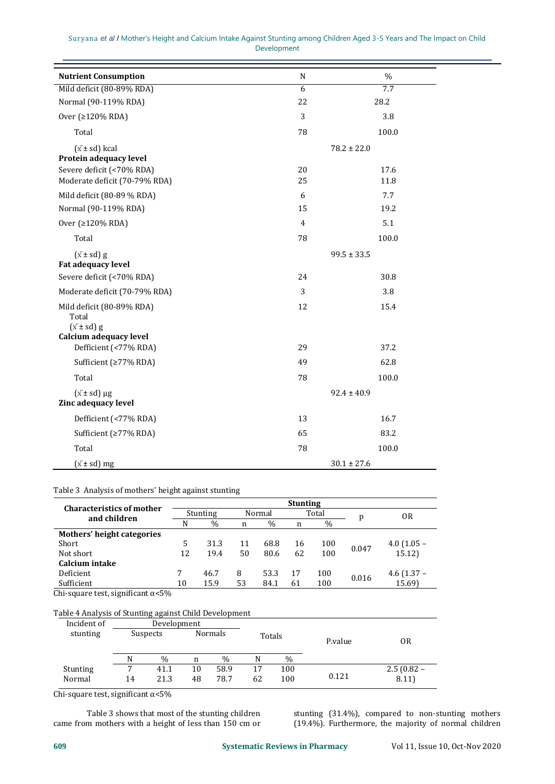|  | Suryana et al / Mother's Height and Calcium Intake Against Stunting among Children Aged 3-5 Years and The Impact on Child |  |             |  |  |  |  |
|--|---------------------------------------------------------------------------------------------------------------------------|--|-------------|--|--|--|--|
|  |                                                                                                                           |  | Development |  |  |  |  |

| <b>Nutrient Consumption</b>                                                          | N              | $\%$            |
|--------------------------------------------------------------------------------------|----------------|-----------------|
| Mild deficit (80-89% RDA)                                                            | $\overline{6}$ | 7.7             |
| Normal (90-119% RDA)                                                                 | 22             | 28.2            |
| Over (≥120% RDA)                                                                     | 3              | 3.8             |
| Total                                                                                | 78             | 100.0           |
| $(\bar{x} \pm sd)$ kcal<br>Protein adequacy level                                    |                | $78.2 \pm 22.0$ |
| Severe deficit (<70% RDA)                                                            | 20             | 17.6            |
| Moderate deficit (70-79% RDA)                                                        | 25             | 11.8            |
| Mild deficit (80-89 % RDA)                                                           | 6              | 7.7             |
| Normal (90-119% RDA)                                                                 | 15             | 19.2            |
| Over (≥120% RDA)                                                                     | $\overline{4}$ | 5.1             |
| Total                                                                                | 78             | 100.0           |
| $(\bar{x} \pm sd)$ g<br><b>Fat adequacy level</b>                                    |                | $99.5 \pm 33.5$ |
| Severe deficit (<70% RDA)                                                            | 24             | 30.8            |
| Moderate deficit (70-79% RDA)                                                        | 3              | 3.8             |
| Mild deficit (80-89% RDA)<br>Total<br>$(\bar{x} \pm sd)$ g<br>Calcium adequacy level | 12             | 15.4            |
| Defficient (<77% RDA)                                                                | 29             | 37.2            |
| Sufficient (≥77% RDA)                                                                | 49             | 62.8            |
| Total                                                                                | 78             | 100.0           |
| $(\bar{x} \pm sd) \mu g$<br>Zinc adequacy level                                      |                | $92.4 \pm 40.9$ |
| Defficient (<77% RDA)                                                                | 13             | 16.7            |
| Sufficient (≥77% RDA)                                                                | 65             | 83.2            |
| Total                                                                                | 78             | 100.0           |
| $(\bar{x} \pm sd)$ mg                                                                |                | $30.1 \pm 27.6$ |

## Table 3 Analysis of mothers' height against stunting

| <b>Characteristics of mother</b> | <b>Stunting</b> |               |        |               |       |      |       |               |  |
|----------------------------------|-----------------|---------------|--------|---------------|-------|------|-------|---------------|--|
| and children                     | Stunting        |               | Normal |               | Total |      | p     | 0R            |  |
|                                  | N               | $\frac{0}{0}$ | n      | $\frac{0}{0}$ | n     | $\%$ |       |               |  |
| Mothers' height categories       |                 |               |        |               |       |      |       |               |  |
| Short                            | 5.              | 31.3          | 11     | 68.8          | 16    | 100  | 0.047 | $4.0$ (1.05 – |  |
| Not short                        | 12              | 19.4          | 50     | 80.6          | 62    | 100  |       | 15.12         |  |
| Calcium intake                   |                 |               |        |               |       |      |       |               |  |
| Deficient                        |                 | 46.7          | 8      | 53.3          | 17    | 100  | 0.016 | 4.6 $(1.37 -$ |  |
| Sufficient                       | 10              | 15.9          | 53     | 84.1          | 61    | 100  |       | 15.69)        |  |

Chi-square test, significant α<5%

# Table 4 Analysis of Stunting against Child Development

| Incident of |          | Development |                          |      |    |               |       |              |
|-------------|----------|-------------|--------------------------|------|----|---------------|-------|--------------|
| stunting    | Suspects |             | <b>Normals</b><br>Totals |      |    | P.value       | 0R    |              |
|             | N        | $\%$        | n                        | $\%$ |    | $\frac{0}{0}$ |       |              |
| Stunting    | ⇁        | 41.1        | 10                       | 58.9 | 17 | 100           |       | $2.5(0.82 -$ |
| Normal      | 14       | 21.3        | 48                       | 78.7 | 62 | 100           | 0.121 | 8.11)        |

Chi-square test, significant  $\alpha$ <5%

Table 3 shows that most of the stunting children came from mothers with a height of less than 150 cm or stunting (31.4%), compared to non-stunting mothers (19.4%). Furthermore, the majority of normal children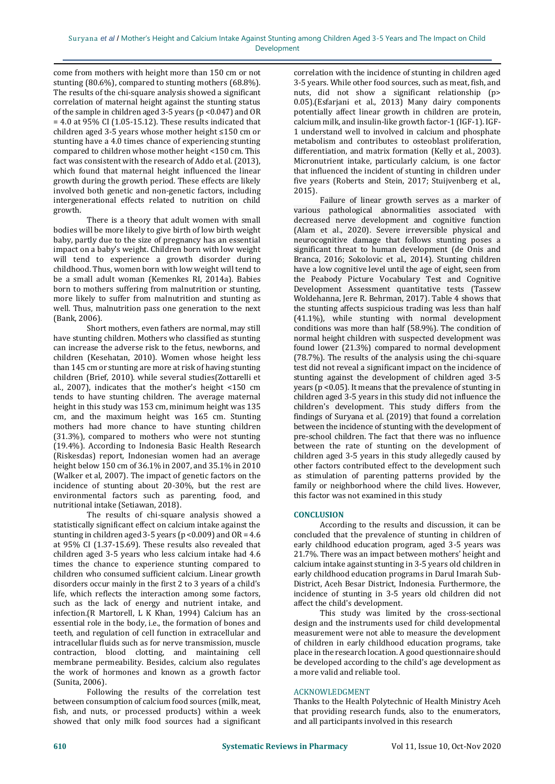come from mothers with height more than 150 cm or not stunting (80.6%), compared to stunting mothers (68.8%). The results of the chi-square analysis showed a significant correlation of maternal height against the stunting status of the sample in children aged 3-5 years (p <0.047) and OR  $= 4.0$  at 95% CI (1.05-15.12). These results indicated that children aged 3-5 years whose mother height ≤150 cm or stunting have a 4.0 times chance of experiencing stunting compared to children whose mother height <150 cm. This fact was consistent with the research of Addo et al. (2013), which found that maternal height influenced the linear growth during the growth period. These effects are likely involved both genetic and non-genetic factors, including intergenerational effects related to nutrition on child growth.

There is a theory that adult women with small bodies will be more likely to give birth of low birth weight baby, partly due to the size of pregnancy has an essential impact on a baby's weight. Children born with low weight will tend to experience a growth disorder during childhood. Thus, women born with low weight will tend to be a small adult woman (Kemenkes RI, 2014a). Babies born to mothers suffering from malnutrition or stunting, more likely to suffer from malnutrition and stunting as well. Thus, malnutrition pass one generation to the next (Bank, 2006).

Short mothers, even fathers are normal, may still have stunting children. Mothers who classified as stunting can increase the adverse risk to the fetus, newborns, and children (Kesehatan, 2010). Women whose height less than 145 cm or stunting are more at risk of having stunting children (Brief, 2010)*.* while several studies(Zottarelli et al., 2007), indicates that the mother's height <150 cm tends to have stunting children. The average maternal height in this study was 153 cm, minimum height was 135 cm, and the maximum height was 165 cm. Stunting mothers had more chance to have stunting children (31.3%), compared to mothers who were not stunting (19.4%). According to Indonesia Basic Health Research (Riskesdas) report, Indonesian women had an average height below 150 cm of 36.1% in 2007, and 35.1% in 2010 (Walker et al, 2007). The impact of genetic factors on the incidence of stunting about 20-30%, but the rest are environmental factors such as parenting, food, and nutritional intake (Setiawan, 2018).

The results of chi-square analysis showed a statistically significant effect on calcium intake against the stunting in children aged 3-5 years ( $p < 0.009$ ) and  $OR = 4.6$ at 95% CI (1.37-15.69). These results also revealed that children aged 3-5 years who less calcium intake had 4.6 times the chance to experience stunting compared to children who consumed sufficient calcium. Linear growth disorders occur mainly in the first 2 to 3 years of a child's life, which reflects the interaction among some factors, such as the lack of energy and nutrient intake, and infection.(R Martorell, L K Khan, 1994) Calcium has an essential role in the body, i.e., the formation of bones and teeth, and regulation of cell function in extracellular and intracellular fluids such as for nerve transmission, muscle contraction, blood clotting, and maintaining cell membrane permeability. Besides, calcium also regulates the work of hormones and known as a growth factor (Sunita, 2006).

Following the results of the correlation test between consumption of calcium food sources (milk, meat, fish, and nuts, or processed products) within a week showed that only milk food sources had a significant

correlation with the incidence of stunting in children aged 3-5 years. While other food sources, such as meat, fish, and nuts, did not show a significant relationship (p> 0.05).(Esfarjani et al., 2013) Many dairy components potentially affect linear growth in children are protein, calcium milk, and insulin-like growth factor-1 (IGF-1). IGF-1 understand well to involved in calcium and phosphate metabolism and contributes to osteoblast proliferation, differentiation, and matrix formation (Kelly et al., 2003). Micronutrient intake, particularly calcium, is one factor that influenced the incident of stunting in children under five years (Roberts and Stein, 2017; Stuijvenberg et al., 2015).

Failure of linear growth serves as a marker of various pathological abnormalities associated with decreased nerve development and cognitive function (Alam et al., 2020). Severe irreversible physical and neurocognitive damage that follows stunting poses a significant threat to human development (de Onis and Branca, 2016; Sokolovic et al., 2014). Stunting children have a low cognitive level until the age of eight, seen from the Peabody Picture Vocabulary Test and Cognitive Development Assessment quantitative tests (Tassew Woldehanna, Jere R. Behrman, 2017). Table 4 shows that the stunting affects suspicious trading was less than half (41.1%), while stunting with normal development conditions was more than half (58.9%). The condition of normal height children with suspected development was found lower (21.3%) compared to normal development (78.7%). The results of the analysis using the chi-square test did not reveal a significant impact on the incidence of stunting against the development of children aged 3-5 years (p <0.05). It means that the prevalence of stunting in children aged 3-5 years in this study did not influence the children's development. This study differs from the findings of Suryana et al. (2019) that found a correlation between the incidence of stunting with the development of pre-school children. The fact that there was no influence between the rate of stunting on the development of children aged 3-5 years in this study allegedly caused by other factors contributed effect to the development such as stimulation of parenting patterns provided by the family or neighborhood where the child lives. However, this factor was not examined in this study

# **CONCLUSION**

According to the results and discussion, it can be concluded that the prevalence of stunting in children of early childhood education program, aged 3-5 years was 21.7%. There was an impact between mothers' height and calcium intake against stunting in 3-5 years old children in early childhood education programs in Darul Imarah Sub-District, Aceh Besar District, Indonesia. Furthermore, the incidence of stunting in 3-5 years old children did not affect the child's development.

This study was limited by the cross-sectional design and the instruments used for child developmental measurement were not able to measure the development of children in early childhood education programs, take place in the research location. A good questionnaire should be developed according to the child's age development as a more valid and reliable tool.

#### ACKNOWLEDGMENT

Thanks to the Health Polytechnic of Health Ministry Aceh that providing research funds, also to the enumerators, and all participants involved in this research